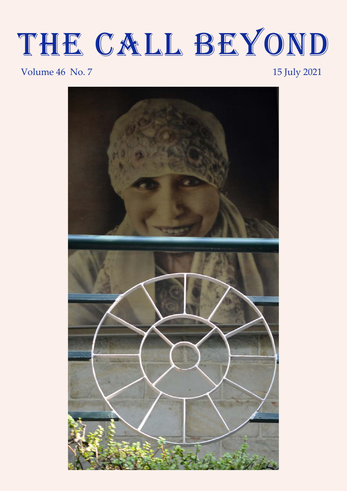# THE CALL BEYOND

#### Volume 46 No. 7 15 July 2021

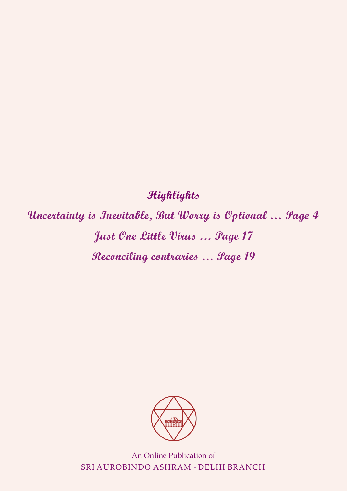#### **Highlights**

**Uncertainty is Inevitable, But Worry is Optional … Page 4 Just One Little Virus … Page 17 Reconciling contraries … Page 19**



An Online Publication of SRI AUROBINDO ASHRAM - DELHI BRANCH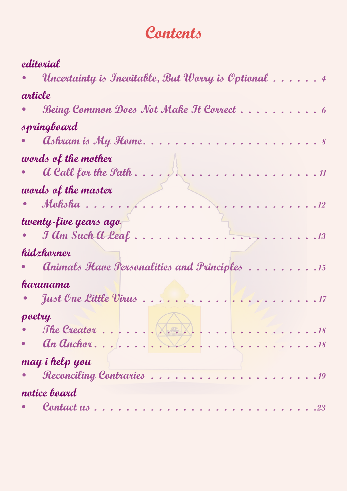## Contents

| editorial                                                                      |
|--------------------------------------------------------------------------------|
| Uncertainty is Inevitable, But Worry is Optional 4                             |
| article                                                                        |
| Being Common Does Not Make It Correct<br>$\cdot$ 6                             |
| springboard                                                                    |
| <b>ashram is My Home</b>                                                       |
| words of the mother<br>a Call for the Path                                     |
| words of the master                                                            |
| Moksha<br>.12                                                                  |
| twenty-five years ago<br>I Am Such A Leaf<br>.13                               |
| kidzkorner<br><b>Animals Have Personalities and Principles.</b><br>$\ldots$ 15 |
| karunama<br>Just One Little Virus                                              |
| poetry                                                                         |
|                                                                                |
| may i help you                                                                 |
|                                                                                |
| notice board                                                                   |
|                                                                                |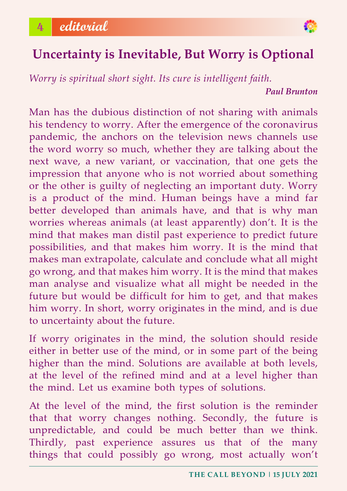

## **Uncertainty is Inevitable, But Worry is Optional**

*Worry is spiritual short sight. Its cure is intelligent faith.*

#### *Paul Brunton*

Man has the dubious distinction of not sharing with animals his tendency to worry. After the emergence of the coronavirus pandemic, the anchors on the television news channels use the word worry so much, whether they are talking about the next wave, a new variant, or vaccination, that one gets the impression that anyone who is not worried about something or the other is guilty of neglecting an important duty. Worry is a product of the mind. Human beings have a mind far better developed than animals have, and that is why man worries whereas animals (at least apparently) don't. It is the mind that makes man distil past experience to predict future possibilities, and that makes him worry. It is the mind that makes man extrapolate, calculate and conclude what all might go wrong, and that makes him worry. It is the mind that makes man analyse and visualize what all might be needed in the future but would be difficult for him to get, and that makes him worry. In short, worry originates in the mind, and is due to uncertainty about the future.

If worry originates in the mind, the solution should reside either in better use of the mind, or in some part of the being higher than the mind. Solutions are available at both levels, at the level of the refined mind and at a level higher than the mind. Let us examine both types of solutions.

At the level of the mind, the first solution is the reminder that that worry changes nothing. Secondly, the future is unpredictable, and could be much better than we think. Thirdly, past experience assures us that of the many things that could possibly go wrong, most actually won't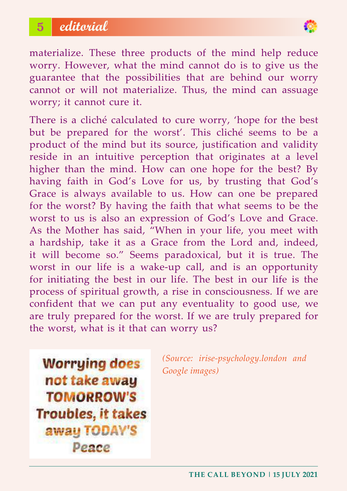

materialize. These three products of the mind help reduce worry. However, what the mind cannot do is to give us the guarantee that the possibilities that are behind our worry cannot or will not materialize. Thus, the mind can assuage worry; it cannot cure it.

There is a cliché calculated to cure worry, 'hope for the best but be prepared for the worst'. This cliché seems to be a product of the mind but its source, justification and validity reside in an intuitive perception that originates at a level higher than the mind. How can one hope for the best? By having faith in God's Love for us, by trusting that God's Grace is always available to us. How can one be prepared for the worst? By having the faith that what seems to be the worst to us is also an expression of God's Love and Grace. As the Mother has said, "When in your life, you meet with a hardship, take it as a Grace from the Lord and, indeed, it will become so." Seems paradoxical, but it is true. The worst in our life is a wake-up call, and is an opportunity for initiating the best in our life. The best in our life is the process of spiritual growth, a rise in consciousness. If we are confident that we can put any eventuality to good use, we are truly prepared for the worst. If we are truly prepared for the worst, what is it that can worry us?



*(Source: irise-psychology.london and Google images)*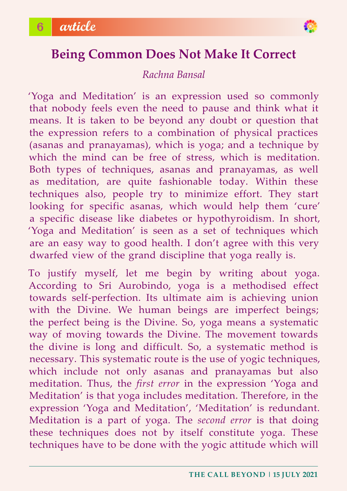

## **Being Common Does Not Make It Correct**

#### *Rachna Bansal*

'Yoga and Meditation' is an expression used so commonly that nobody feels even the need to pause and think what it means. It is taken to be beyond any doubt or question that the expression refers to a combination of physical practices (asanas and pranayamas), which is yoga; and a technique by which the mind can be free of stress, which is meditation. Both types of techniques, asanas and pranayamas, as well as meditation, are quite fashionable today. Within these techniques also, people try to minimize effort. They start looking for specific asanas, which would help them 'cure' a specific disease like diabetes or hypothyroidism. In short, 'Yoga and Meditation' is seen as a set of techniques which are an easy way to good health. I don't agree with this very dwarfed view of the grand discipline that yoga really is.

To justify myself, let me begin by writing about yoga. According to Sri Aurobindo, yoga is a methodised effect towards self-perfection. Its ultimate aim is achieving union with the Divine. We human beings are imperfect beings; the perfect being is the Divine. So, yoga means a systematic way of moving towards the Divine. The movement towards the divine is long and difficult. So, a systematic method is necessary. This systematic route is the use of yogic techniques, which include not only asanas and pranayamas but also meditation. Thus, the *first error* in the expression 'Yoga and Meditation' is that yoga includes meditation. Therefore, in the expression 'Yoga and Meditation', 'Meditation' is redundant. Meditation is a part of yoga. The *second error* is that doing these techniques does not by itself constitute yoga. These techniques have to be done with the yogic attitude which will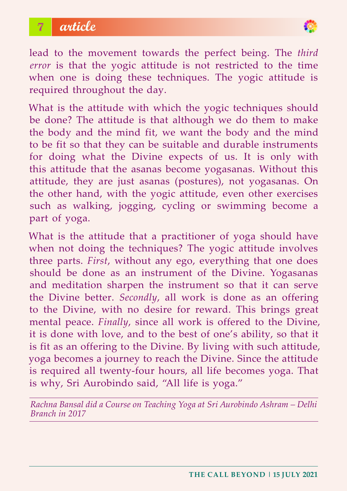

lead to the movement towards the perfect being. The *third error* is that the yogic attitude is not restricted to the time when one is doing these techniques. The yogic attitude is required throughout the day.

What is the attitude with which the yogic techniques should be done? The attitude is that although we do them to make the body and the mind fit, we want the body and the mind to be fit so that they can be suitable and durable instruments for doing what the Divine expects of us. It is only with this attitude that the asanas become yogasanas. Without this attitude, they are just asanas (postures), not yogasanas. On the other hand, with the yogic attitude, even other exercises such as walking, jogging, cycling or swimming become a part of yoga.

What is the attitude that a practitioner of yoga should have when not doing the techniques? The yogic attitude involves three parts. *First*, without any ego, everything that one does should be done as an instrument of the Divine. Yogasanas and meditation sharpen the instrument so that it can serve the Divine better. *Secondly*, all work is done as an offering to the Divine, with no desire for reward. This brings great mental peace. *Finally*, since all work is offered to the Divine, it is done with love, and to the best of one's ability, so that it is fit as an offering to the Divine. By living with such attitude, yoga becomes a journey to reach the Divine. Since the attitude is required all twenty-four hours, all life becomes yoga. That is why, Sri Aurobindo said, "All life is yoga."

*Rachna Bansal did a Course on Teaching Yoga at Sri Aurobindo Ashram – Delhi Branch in 2017*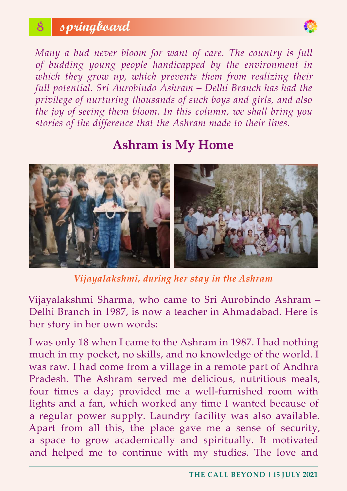## 8 **springboard**



*Many a bud never bloom for want of care. The country is full of budding young people handicapped by the environment in*  which they grow up, which prevents them from realizing their *full potential. Sri Aurobindo Ashram – Delhi Branch has had the privilege of nurturing thousands of such boys and girls, and also the joy of seeing them bloom. In this column, we shall bring you stories of the difference that the Ashram made to their lives.*

## **ashram is My home**



*Vijayalakshmi, during her stay in the Ashram*

Vijayalakshmi Sharma, who came to Sri Aurobindo Ashram – Delhi Branch in 1987, is now a teacher in Ahmadabad. Here is her story in her own words:

I was only 18 when I came to the Ashram in 1987. I had nothing much in my pocket, no skills, and no knowledge of the world. I was raw. I had come from a village in a remote part of Andhra Pradesh. The Ashram served me delicious, nutritious meals, four times a day; provided me a well-furnished room with lights and a fan, which worked any time I wanted because of a regular power supply. Laundry facility was also available. Apart from all this, the place gave me a sense of security, a space to grow academically and spiritually. It motivated and helped me to continue with my studies. The love and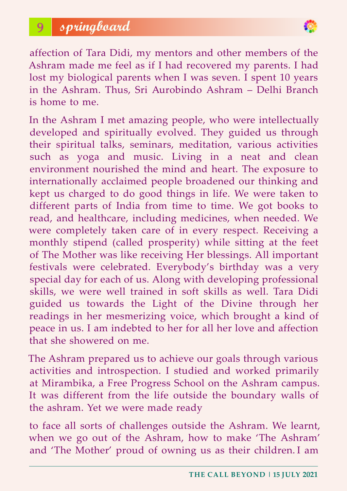

affection of Tara Didi, my mentors and other members of the Ashram made me feel as if I had recovered my parents. I had lost my biological parents when I was seven. I spent 10 years in the Ashram. Thus, Sri Aurobindo Ashram – Delhi Branch is home to me.

In the Ashram I met amazing people, who were intellectually developed and spiritually evolved. They guided us through their spiritual talks, seminars, meditation, various activities such as yoga and music. Living in a neat and clean environment nourished the mind and heart. The exposure to internationally acclaimed people broadened our thinking and kept us charged to do good things in life. We were taken to different parts of India from time to time. We got books to read, and healthcare, including medicines, when needed. We were completely taken care of in every respect. Receiving a monthly stipend (called prosperity) while sitting at the feet of The Mother was like receiving Her blessings. All important festivals were celebrated. Everybody's birthday was a very special day for each of us. Along with developing professional skills, we were well trained in soft skills as well. Tara Didi guided us towards the Light of the Divine through her readings in her mesmerizing voice, which brought a kind of peace in us. I am indebted to her for all her love and affection that she showered on me.

The Ashram prepared us to achieve our goals through various activities and introspection. I studied and worked primarily at Mirambika, a Free Progress School on the Ashram campus. It was different from the life outside the boundary walls of the ashram. Yet we were made ready

to face all sorts of challenges outside the Ashram. We learnt, when we go out of the Ashram, how to make 'The Ashram' and 'The Mother' proud of owning us as their children. I am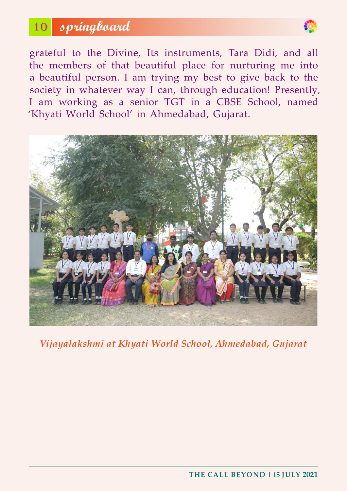## 10 **springboard**



grateful to the Divine, Its instruments, Tara Didi, and all the members of that beautiful place for nurturing me into a beautiful person. I am trying my best to give back to the society in whatever way I can, through education! Presently, I am working as a senior TGT in a CBSE School, named 'Khyati World School' in Ahmedabad, Gujarat.



*Vijayalakshmi at Khyati World School, Ahmedabad, Gujarat*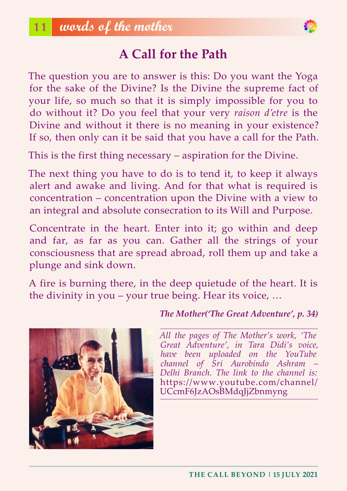## **a Call for the Path**

The question you are to answer is this: Do you want the Yoga for the sake of the Divine? Is the Divine the supreme fact of your life, so much so that it is simply impossible for you to do without it? Do you feel that your very *raison d'etre* is the Divine and without it there is no meaning in your existence? If so, then only can it be said that you have a call for the Path.

This is the first thing necessary – aspiration for the Divine.

The next thing you have to do is to tend it, to keep it always alert and awake and living. And for that what is required is concentration – concentration upon the Divine with a view to an integral and absolute consecration to its Will and Purpose.

Concentrate in the heart. Enter into it; go within and deep and far, as far as you can. Gather all the strings of your consciousness that are spread abroad, roll them up and take a plunge and sink down.

A fire is burning there, in the deep quietude of the heart. It is the divinity in you – your true being. Hear its voice, …



#### *The Mother('The Great Adventure', p. 34)*

*All the pages of The Mother's work, 'The Great Adventure', in Tara Didi's voice, have been uploaded on the YouTube channel of Sri Aurobindo Ashram – Delhi Branch. The link to the channel is:*  https://www.youtube.com/channel/ UCcmF6JzAOsBMdqJjZbnmyng

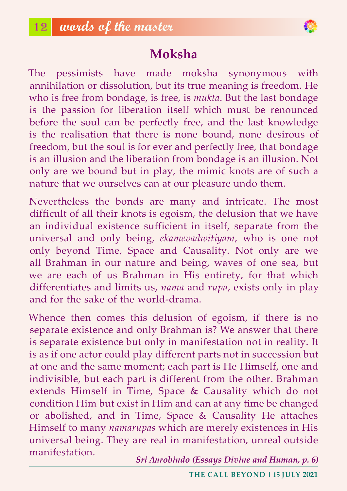

## **Moksha**

The pessimists have made moksha synonymous with annihilation or dissolution, but its true meaning is freedom. He who is free from bondage, is free, is *mukta*. But the last bondage is the passion for liberation itself which must be renounced before the soul can be perfectly free, and the last knowledge is the realisation that there is none bound, none desirous of freedom, but the soul is for ever and perfectly free, that bondage is an illusion and the liberation from bondage is an illusion. Not only are we bound but in play, the mimic knots are of such a nature that we ourselves can at our pleasure undo them.

Nevertheless the bonds are many and intricate. The most difficult of all their knots is egoism, the delusion that we have an individual existence sufficient in itself, separate from the universal and only being, *ekamevadwitiyam*, who is one not only beyond Time, Space and Causality. Not only are we all Brahman in our nature and being, waves of one sea, but we are each of us Brahman in His entirety, for that which differentiates and limits us, *nama* and *rupa*, exists only in play and for the sake of the world-drama.

Whence then comes this delusion of egoism, if there is no separate existence and only Brahman is? We answer that there is separate existence but only in manifestation not in reality. It is as if one actor could play different parts not in succession but at one and the same moment; each part is He Himself, one and indivisible, but each part is different from the other. Brahman extends Himself in Time, Space & Causality which do not condition Him but exist in Him and can at any time be changed or abolished, and in Time, Space & Causality He attaches Himself to many *namarupas* which are merely existences in His universal being. They are real in manifestation, unreal outside manifestation.

*Sri Aurobindo (Essays Divine and Human, p. 6)*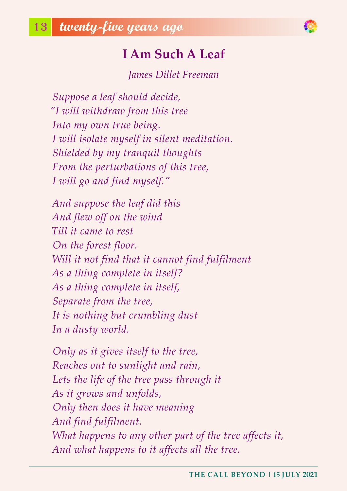## **I am Such a leaf**

#### *James Dillet Freeman*

*Suppose a leaf should decide, "I will withdraw from this tree Into my own true being. I will isolate myself in silent meditation. Shielded by my tranquil thoughts From the perturbations of this tree, I will go and find myself."*

*And suppose the leaf did this And flew off on the wind Till it came to rest On the forest floor. Will it not find that it cannot find fulfilment As a thing complete in itself? As a thing complete in itself, Separate from the tree, It is nothing but crumbling dust In a dusty world.*

*Only as it gives itself to the tree, Reaches out to sunlight and rain, Lets the life of the tree pass through it As it grows and unfolds, Only then does it have meaning And find fulfilment. What happens to any other part of the tree affects it, And what happens to it affects all the tree.*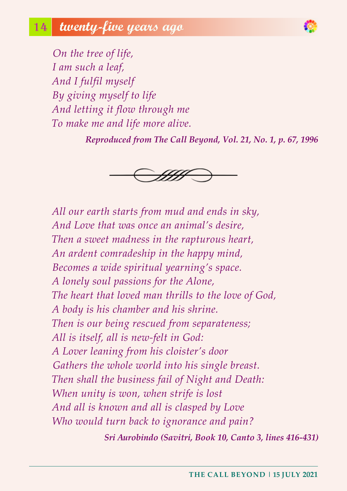*On the tree of life, I am such a leaf, And I fulfil myself By giving myself to life And letting it flow through me To make me and life more alive.*

*Reproduced from The Call Beyond, Vol. 21, No. 1, p. 67, 1996*



*All our earth starts from mud and ends in sky, And Love that was once an animal's desire, Then a sweet madness in the rapturous heart, An ardent comradeship in the happy mind, Becomes a wide spiritual yearning's space. A lonely soul passions for the Alone, The heart that loved man thrills to the love of God, A body is his chamber and his shrine. Then is our being rescued from separateness; All is itself, all is new-felt in God: A Lover leaning from his cloister's door Gathers the whole world into his single breast. Then shall the business fail of Night and Death: When unity is won, when strife is lost And all is known and all is clasped by Love Who would turn back to ignorance and pain?*

*Sri Aurobindo (Savitri, Book 10, Canto 3, lines 416-431)*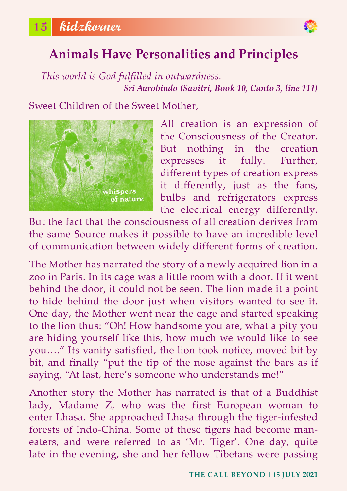

## **animals have Personalities and Principles**

*This world is God fulfilled in outwardness. Sri Aurobindo (Savitri, Book 10, Canto 3, line 111)*

Sweet Children of the Sweet Mother,



All creation is an expression of the Consciousness of the Creator. But nothing in the creation expresses it fully. Further, different types of creation express it differently, just as the fans, bulbs and refrigerators express the electrical energy differently.

But the fact that the consciousness of all creation derives from the same Source makes it possible to have an incredible level of communication between widely different forms of creation.

The Mother has narrated the story of a newly acquired lion in a zoo in Paris. In its cage was a little room with a door. If it went behind the door, it could not be seen. The lion made it a point to hide behind the door just when visitors wanted to see it. One day, the Mother went near the cage and started speaking to the lion thus: "Oh! How handsome you are, what a pity you are hiding yourself like this, how much we would like to see you…." Its vanity satisfied, the lion took notice, moved bit by bit, and finally "put the tip of the nose against the bars as if saying, "At last, here's someone who understands me!"

Another story the Mother has narrated is that of a Buddhist lady, Madame Z, who was the first European woman to enter Lhasa. She approached Lhasa through the tiger-infested forests of Indo-China. Some of these tigers had become maneaters, and were referred to as 'Mr. Tiger'. One day, quite late in the evening, she and her fellow Tibetans were passing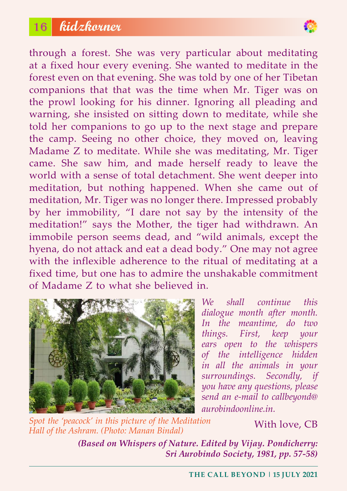## 16 **kidzkorner**



through a forest. She was very particular about meditating at a fixed hour every evening. She wanted to meditate in the forest even on that evening. She was told by one of her Tibetan companions that that was the time when Mr. Tiger was on the prowl looking for his dinner. Ignoring all pleading and warning, she insisted on sitting down to meditate, while she told her companions to go up to the next stage and prepare the camp. Seeing no other choice, they moved on, leaving Madame Z to meditate. While she was meditating, Mr. Tiger came. She saw him, and made herself ready to leave the world with a sense of total detachment. She went deeper into meditation, but nothing happened. When she came out of meditation, Mr. Tiger was no longer there. Impressed probably by her immobility, "I dare not say by the intensity of the meditation!" says the Mother, the tiger had withdrawn. An immobile person seems dead, and "wild animals, except the hyena, do not attack and eat a dead body." One may not agree with the inflexible adherence to the ritual of meditating at a fixed time, but one has to admire the unshakable commitment of Madame Z to what she believed in.



*We shall continue this dialogue month after month. In the meantime, do two things. First, keep your ears open to the whispers of the intelligence hidden in all the animals in your surroundings. Secondly, if you have any questions, please send an e-mail to callbeyond@ aurobindoonline.in.*

*Spot the 'peacock' in this picture of the Meditation Hall of the Ashram. (Photo: Manan Bindal)*

With love, CB

*(Based on Whispers of Nature. Edited by Vijay. Pondicherry: Sri Aurobindo Society, 1981, pp. 57-58)*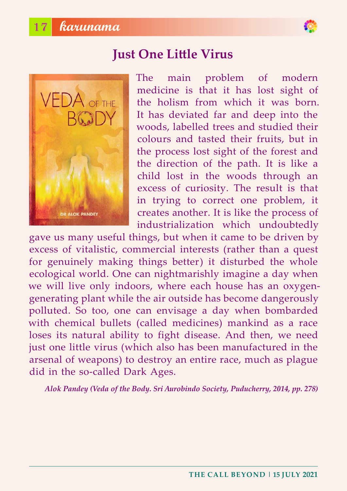## 17 **karunama**



#### **Just One Little Virus**



The main problem of modern medicine is that it has lost sight of the holism from which it was born. It has deviated far and deep into the woods, labelled trees and studied their colours and tasted their fruits, but in the process lost sight of the forest and the direction of the path. It is like a child lost in the woods through an excess of curiosity. The result is that in trying to correct one problem, it creates another. It is like the process of industrialization which undoubtedly

gave us many useful things, but when it came to be driven by excess of vitalistic, commercial interests (rather than a quest for genuinely making things better) it disturbed the whole ecological world. One can nightmarishly imagine a day when we will live only indoors, where each house has an oxygengenerating plant while the air outside has become dangerously polluted. So too, one can envisage a day when bombarded with chemical bullets (called medicines) mankind as a race loses its natural ability to fight disease. And then, we need just one little virus (which also has been manufactured in the arsenal of weapons) to destroy an entire race, much as plague did in the so-called Dark Ages.

*Alok Pandey (Veda of the Body. Sri Aurobindo Society, Puducherry, 2014, pp. 278)*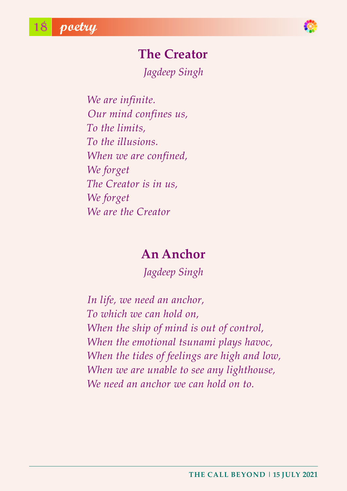



## **The Creator**

*Jagdeep Singh*

*We are infinite. Our mind confines us, To the limits, To the illusions. When we are confined, We forget The Creator is in us, We forget We are the Creator*

### **an anchor**

*Jagdeep Singh*

*In life, we need an anchor, To which we can hold on, When the ship of mind is out of control, When the emotional tsunami plays havoc, When the tides of feelings are high and low, When we are unable to see any lighthouse, We need an anchor we can hold on to.*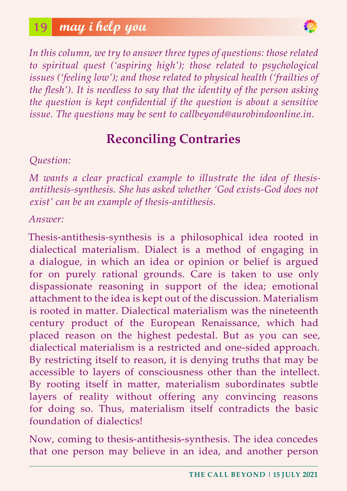

*In this column, we try to answer three types of questions: those related to spiritual quest ('aspiring high'); those related to psychological issues ('feeling low'); and those related to physical health ('frailties of the flesh'). It is needless to say that the identity of the person asking the question is kept confidential if the question is about a sensitive issue. The questions may be sent to callbeyond@aurobindoonline.in.*

## **Reconciling Contraries**

#### *Question:*

*M wants a clear practical example to illustrate the idea of thesisantithesis-synthesis. She has asked whether 'God exists-God does not exist' can be an example of thesis-antithesis.*

#### *Answer:*

Thesis-antithesis-synthesis is a philosophical idea rooted in dialectical materialism. Dialect is a method of engaging in a dialogue, in which an idea or opinion or belief is argued for on purely rational grounds. Care is taken to use only dispassionate reasoning in support of the idea; emotional attachment to the idea is kept out of the discussion. Materialism is rooted in matter. Dialectical materialism was the nineteenth century product of the European Renaissance, which had placed reason on the highest pedestal. But as you can see, dialectical materialism is a restricted and one-sided approach. By restricting itself to reason, it is denying truths that may be accessible to layers of consciousness other than the intellect. By rooting itself in matter, materialism subordinates subtle layers of reality without offering any convincing reasons for doing so. Thus, materialism itself contradicts the basic foundation of dialectics!

Now, coming to thesis-antithesis-synthesis. The idea concedes that one person may believe in an idea, and another person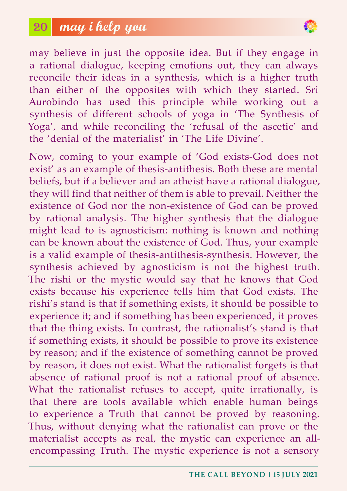

may believe in just the opposite idea. But if they engage in a rational dialogue, keeping emotions out, they can always reconcile their ideas in a synthesis, which is a higher truth than either of the opposites with which they started. Sri Aurobindo has used this principle while working out a synthesis of different schools of yoga in 'The Synthesis of Yoga', and while reconciling the 'refusal of the ascetic' and the 'denial of the materialist' in 'The Life Divine'.

Now, coming to your example of 'God exists-God does not exist' as an example of thesis-antithesis. Both these are mental beliefs, but if a believer and an atheist have a rational dialogue, they will find that neither of them is able to prevail. Neither the existence of God nor the non-existence of God can be proved by rational analysis. The higher synthesis that the dialogue might lead to is agnosticism: nothing is known and nothing can be known about the existence of God. Thus, your example is a valid example of thesis-antithesis-synthesis. However, the synthesis achieved by agnosticism is not the highest truth. The rishi or the mystic would say that he knows that God exists because his experience tells him that God exists. The rishi's stand is that if something exists, it should be possible to experience it; and if something has been experienced, it proves that the thing exists. In contrast, the rationalist's stand is that if something exists, it should be possible to prove its existence by reason; and if the existence of something cannot be proved by reason, it does not exist. What the rationalist forgets is that absence of rational proof is not a rational proof of absence. What the rationalist refuses to accept, quite irrationally, is that there are tools available which enable human beings to experience a Truth that cannot be proved by reasoning. Thus, without denying what the rationalist can prove or the materialist accepts as real, the mystic can experience an allencompassing Truth. The mystic experience is not a sensory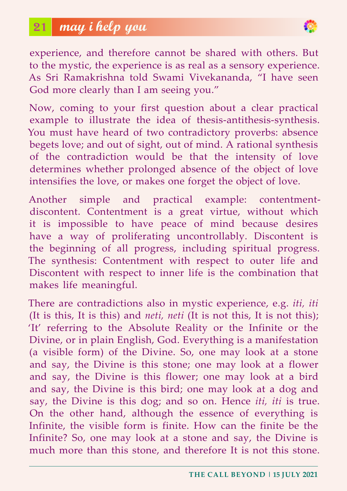

experience, and therefore cannot be shared with others. But to the mystic, the experience is as real as a sensory experience. As Sri Ramakrishna told Swami Vivekananda, "I have seen God more clearly than I am seeing you."

Now, coming to your first question about a clear practical example to illustrate the idea of thesis-antithesis-synthesis. You must have heard of two contradictory proverbs: absence begets love; and out of sight, out of mind. A rational synthesis of the contradiction would be that the intensity of love determines whether prolonged absence of the object of love intensifies the love, or makes one forget the object of love.

Another simple and practical example: contentmentdiscontent. Contentment is a great virtue, without which it is impossible to have peace of mind because desires have a way of proliferating uncontrollably. Discontent is the beginning of all progress, including spiritual progress. The synthesis: Contentment with respect to outer life and Discontent with respect to inner life is the combination that makes life meaningful.

There are contradictions also in mystic experience, e.g. *iti, iti* (It is this, It is this) and *neti, neti* (It is not this, It is not this); 'It' referring to the Absolute Reality or the Infinite or the Divine, or in plain English, God. Everything is a manifestation (a visible form) of the Divine. So, one may look at a stone and say, the Divine is this stone; one may look at a flower and say, the Divine is this flower; one may look at a bird and say, the Divine is this bird; one may look at a dog and say, the Divine is this dog; and so on. Hence *iti, iti* is true. On the other hand, although the essence of everything is Infinite, the visible form is finite. How can the finite be the Infinite? So, one may look at a stone and say, the Divine is much more than this stone, and therefore It is not this stone.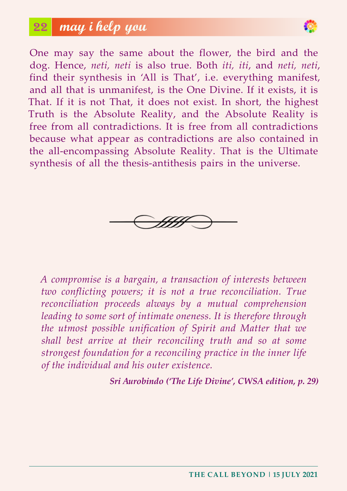## 22 **may i help you**



One may say the same about the flower, the bird and the dog. Hence, *neti, neti* is also true. Both *iti, iti*, and *neti, neti*, find their synthesis in 'All is That', i.e. everything manifest, and all that is unmanifest, is the One Divine. If it exists, it is That. If it is not That, it does not exist. In short, the highest Truth is the Absolute Reality, and the Absolute Reality is free from all contradictions. It is free from all contradictions because what appear as contradictions are also contained in the all-encompassing Absolute Reality. That is the Ultimate synthesis of all the thesis-antithesis pairs in the universe.



*A compromise is a bargain, a transaction of interests between two conflicting powers; it is not a true reconciliation. True reconciliation proceeds always by a mutual comprehension leading to some sort of intimate oneness. It is therefore through the utmost possible unification of Spirit and Matter that we shall best arrive at their reconciling truth and so at some strongest foundation for a reconciling practice in the inner life of the individual and his outer existence.*

*Sri Aurobindo ('The Life Divine', CWSA edition, p. 29)*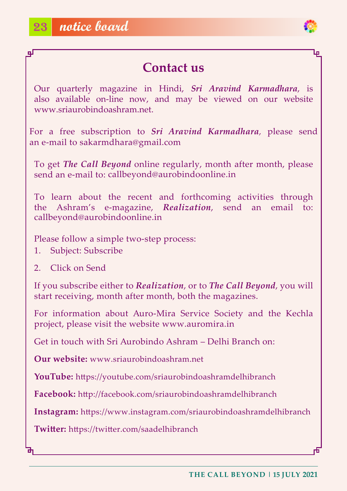

## **Contact us**

Our quarterly magazine in Hindi, *Sri Aravind Karmadhara*, is also available on-line now, and may be viewed on our website www.sriaurobindoashram.net.

For a free subscription to *Sri Aravind Karmadhara,* please send an e-mail to sakarmdhara@gmail.com

To get *The Call Beyond* online regularly, month after month, please send an e-mail to: callbeyond@aurobindoonline.in

To learn about the recent and forthcoming activities through the Ashram's e-magazine, *Realization*, send an email to: callbeyond@aurobindoonline.in

Please follow a simple two-step process:

- 1. Subject: Subscribe
- 2. Click on Send

If you subscribe either to *Realization*, or to *The Call Beyond*, you will start receiving, month after month, both the magazines.

For information about Auro-Mira Service Society and the Kechla project, please visit the website www.auromira.in

Get in touch with Sri Aurobindo Ashram – Delhi Branch on:

**our website:** www.sriaurobindoashram.net

**youTube:** https://youtube.com/sriaurobindoashramdelhibranch

**Facebook:** http://facebook.com/sriaurobindoashramdelhibranch

**Instagram:** https://www.instagram.com/sriaurobindoashramdelhibranch

**Twitter:** https://twitter.com/saadelhibranch